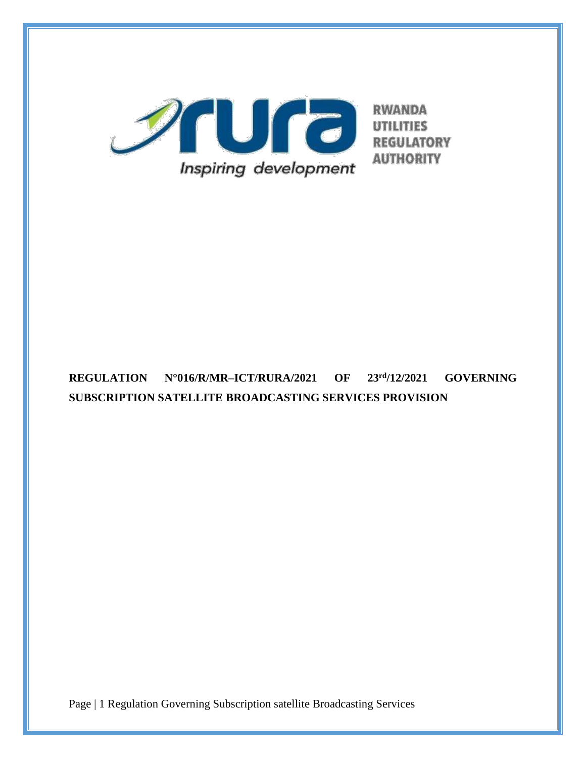

# **REGULATION N°016/R/MR–ICT/RURA/2021 OF 23rd/12/2021 GOVERNING SUBSCRIPTION SATELLITE BROADCASTING SERVICES PROVISION**

Page | 1 Regulation Governing Subscription satellite Broadcasting Services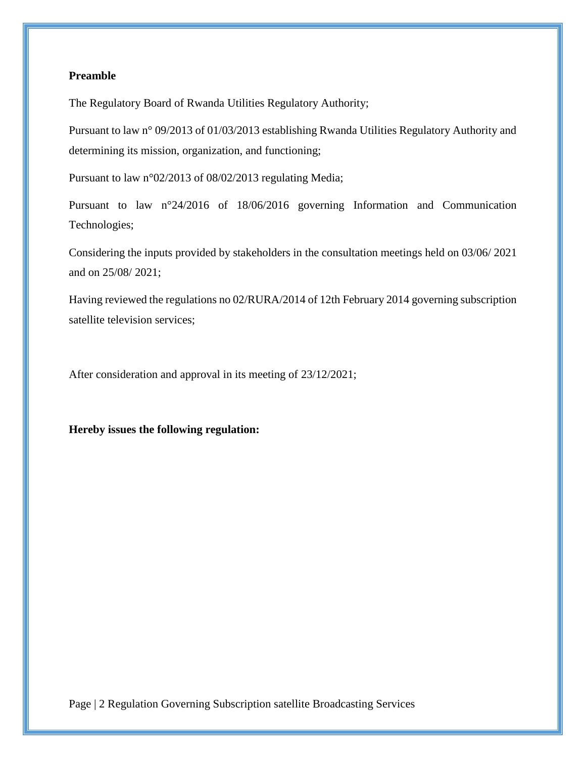### **Preamble**

The Regulatory Board of Rwanda Utilities Regulatory Authority;

Pursuant to law n° 09/2013 of 01/03/2013 establishing Rwanda Utilities Regulatory Authority and determining its mission, organization, and functioning;

Pursuant to law n°02/2013 of 08/02/2013 regulating Media;

Pursuant to law n°24/2016 of 18/06/2016 governing Information and Communication Technologies;

Considering the inputs provided by stakeholders in the consultation meetings held on 03/06/ 2021 and on 25/08/ 2021;

Having reviewed the regulations no 02/RURA/2014 of 12th February 2014 governing subscription satellite television services;

After consideration and approval in its meeting of 23/12/2021;

#### **Hereby issues the following regulation:**

Page | 2 Regulation Governing Subscription satellite Broadcasting Services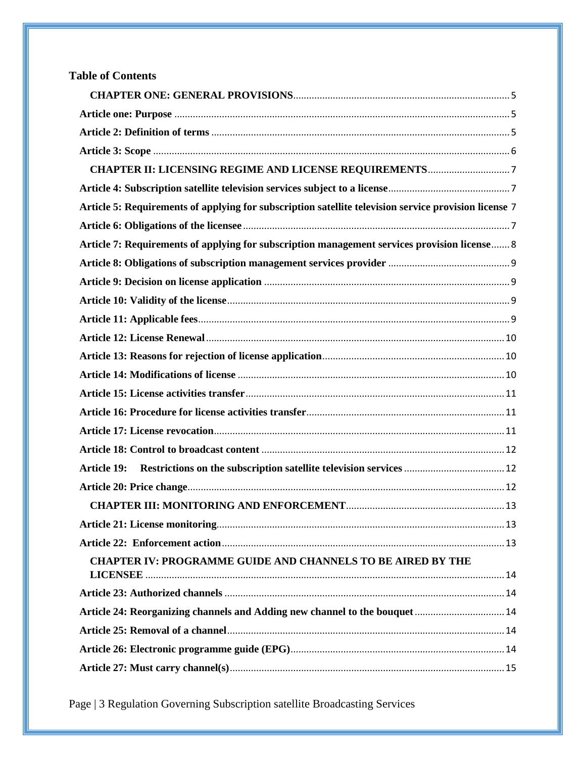| <b>Table of Contents</b>                                                                              |  |
|-------------------------------------------------------------------------------------------------------|--|
|                                                                                                       |  |
|                                                                                                       |  |
|                                                                                                       |  |
|                                                                                                       |  |
|                                                                                                       |  |
|                                                                                                       |  |
| Article 5: Requirements of applying for subscription satellite television service provision license 7 |  |
|                                                                                                       |  |
| Article 7: Requirements of applying for subscription management services provision license 8          |  |
|                                                                                                       |  |
|                                                                                                       |  |
|                                                                                                       |  |
|                                                                                                       |  |
|                                                                                                       |  |
|                                                                                                       |  |
|                                                                                                       |  |
|                                                                                                       |  |
|                                                                                                       |  |
|                                                                                                       |  |
|                                                                                                       |  |
| <b>Article 19:</b>                                                                                    |  |
|                                                                                                       |  |
|                                                                                                       |  |
|                                                                                                       |  |
|                                                                                                       |  |
| <b>CHAPTER IV: PROGRAMME GUIDE AND CHANNELS TO BE AIRED BY THE</b>                                    |  |
|                                                                                                       |  |
| Article 24: Reorganizing channels and Adding new channel to the bouquet  14                           |  |
|                                                                                                       |  |
|                                                                                                       |  |
|                                                                                                       |  |

Page | 3 Regulation Governing Subscription satellite Broadcasting Services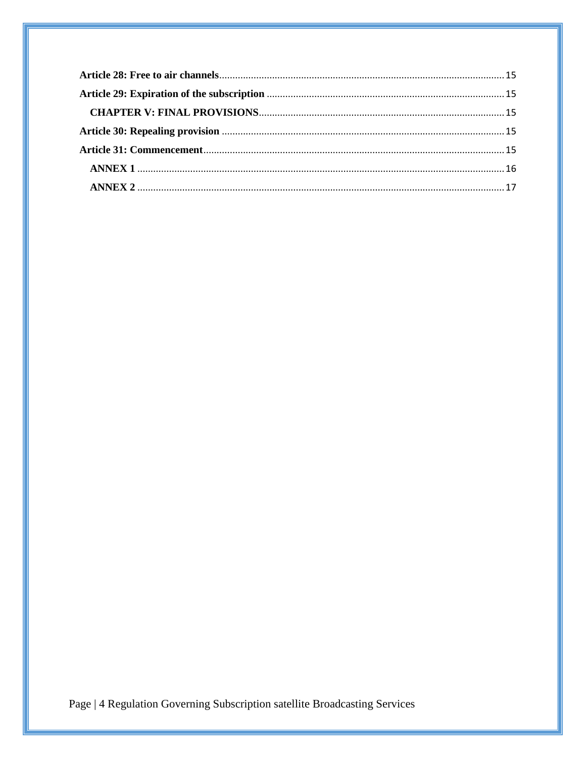Page | 4 Regulation Governing Subscription satellite Broadcasting Services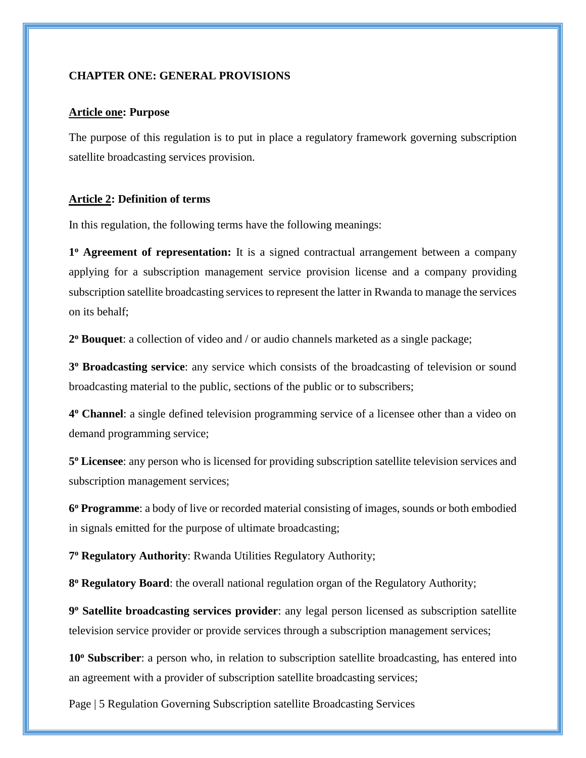#### <span id="page-4-0"></span>**CHAPTER ONE: GENERAL PROVISIONS**

#### <span id="page-4-1"></span>**Article one: Purpose**

The purpose of this regulation is to put in place a regulatory framework governing subscription satellite broadcasting services provision.

#### <span id="page-4-2"></span>**Article 2: Definition of terms**

In this regulation, the following terms have the following meanings:

**1 <sup>o</sup> Agreement of representation:** It is a signed contractual arrangement between a company applying for a subscription management service provision license and a company providing subscription satellite broadcasting services to represent the latter in Rwanda to manage the services on its behalf;

**2 <sup>o</sup> Bouquet**: a collection of video and / or audio channels marketed as a single package;

**3 <sup>o</sup> Broadcasting service**: any service which consists of the broadcasting of television or sound broadcasting material to the public, sections of the public or to subscribers;

**4 <sup>o</sup> Channel**: a single defined television programming service of a licensee other than a video on demand programming service;

**5 <sup>o</sup> Licensee**: any person who is licensed for providing subscription satellite television services and subscription management services;

**6 <sup>o</sup> Programme**: a body of live or recorded material consisting of images, sounds or both embodied in signals emitted for the purpose of ultimate broadcasting;

**7 <sup>o</sup> Regulatory Authority**: Rwanda Utilities Regulatory Authority;

**8 <sup>o</sup> Regulatory Board**: the overall national regulation organ of the Regulatory Authority;

**9 <sup>o</sup> Satellite broadcasting services provider**: any legal person licensed as subscription satellite television service provider or provide services through a subscription management services;

**10<sup>o</sup> Subscriber**: a person who, in relation to subscription satellite broadcasting, has entered into an agreement with a provider of subscription satellite broadcasting services;

Page | 5 Regulation Governing Subscription satellite Broadcasting Services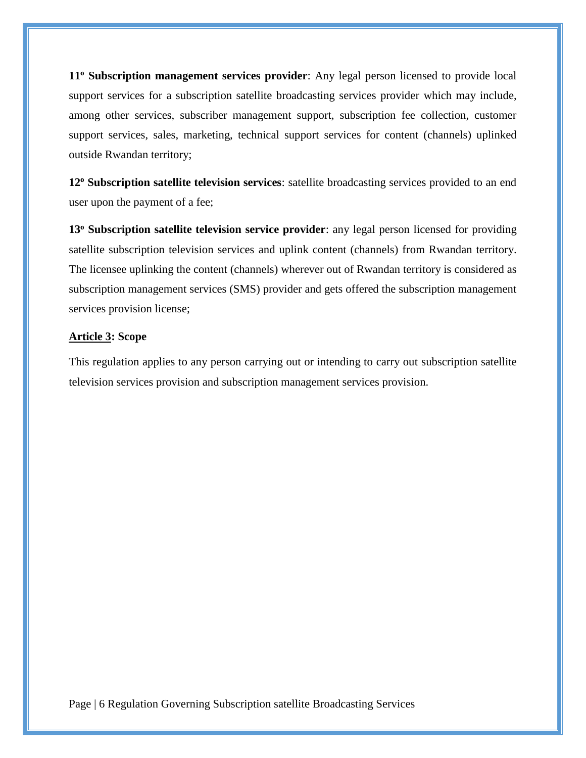**11<sup>o</sup> Subscription management services provider**: Any legal person licensed to provide local support services for a subscription satellite broadcasting services provider which may include, among other services, subscriber management support, subscription fee collection, customer support services, sales, marketing, technical support services for content (channels) uplinked outside Rwandan territory;

**12<sup>o</sup> Subscription satellite television services**: satellite broadcasting services provided to an end user upon the payment of a fee;

**13<sup>o</sup> Subscription satellite television service provider**: any legal person licensed for providing satellite subscription television services and uplink content (channels) from Rwandan territory. The licensee uplinking the content (channels) wherever out of Rwandan territory is considered as subscription management services (SMS) provider and gets offered the subscription management services provision license;

#### <span id="page-5-0"></span>**Article 3: Scope**

This regulation applies to any person carrying out or intending to carry out subscription satellite television services provision and subscription management services provision.

Page | 6 Regulation Governing Subscription satellite Broadcasting Services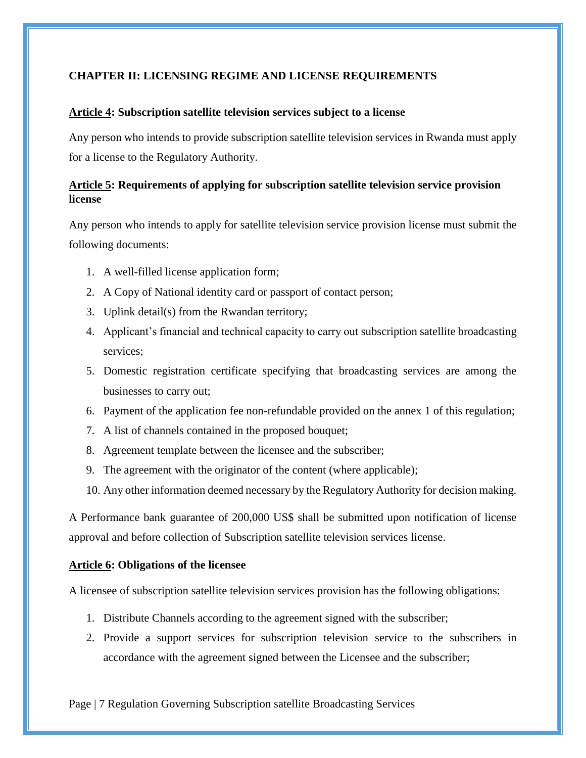## <span id="page-6-0"></span>**CHAPTER II: LICENSING REGIME AND LICENSE REQUIREMENTS**

### <span id="page-6-1"></span>**Article 4: Subscription satellite television services subject to a license**

Any person who intends to provide subscription satellite television services in Rwanda must apply for a license to the Regulatory Authority.

# <span id="page-6-2"></span>**Article 5: Requirements of applying for subscription satellite television service provision license**

Any person who intends to apply for satellite television service provision license must submit the following documents:

- 1. A well-filled license application form;
- 2. A Copy of National identity card or passport of contact person;
- 3. Uplink detail(s) from the Rwandan territory;
- 4. Applicant's financial and technical capacity to carry out subscription satellite broadcasting services;
- 5. Domestic registration certificate specifying that broadcasting services are among the businesses to carry out;
- 6. Payment of the application fee non-refundable provided on the annex 1 of this regulation;
- 7. A list of channels contained in the proposed bouquet;
- 8. Agreement template between the licensee and the subscriber;
- 9. The agreement with the originator of the content (where applicable);
- 10. Any other information deemed necessary by the Regulatory Authority for decision making.

A Performance bank guarantee of 200,000 US\$ shall be submitted upon notification of license approval and before collection of Subscription satellite television services license.

### <span id="page-6-3"></span>**Article 6: Obligations of the licensee**

A licensee of subscription satellite television services provision has the following obligations:

- 1. Distribute Channels according to the agreement signed with the subscriber;
- 2. Provide a support services for subscription television service to the subscribers in accordance with the agreement signed between the Licensee and the subscriber;

Page | 7 Regulation Governing Subscription satellite Broadcasting Services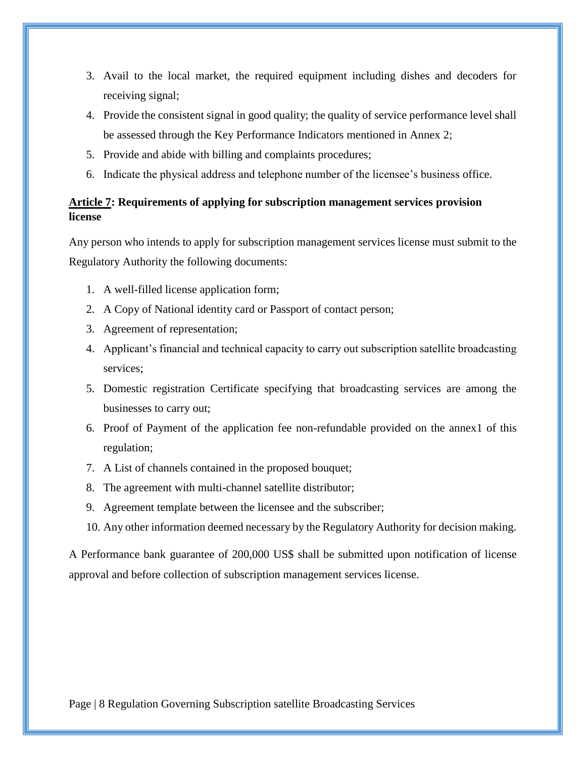- 3. Avail to the local market, the required equipment including dishes and decoders for receiving signal;
- 4. Provide the consistent signal in good quality; the quality of service performance level shall be assessed through the Key Performance Indicators mentioned in Annex 2;
- 5. Provide and abide with billing and complaints procedures;
- 6. Indicate the physical address and telephone number of the licensee's business office.

# <span id="page-7-0"></span>**Article 7: Requirements of applying for subscription management services provision license**

Any person who intends to apply for subscription management services license must submit to the Regulatory Authority the following documents:

- 1. A well-filled license application form;
- 2. A Copy of National identity card or Passport of contact person;
- 3. Agreement of representation;
- 4. Applicant's financial and technical capacity to carry out subscription satellite broadcasting services;
- 5. Domestic registration Certificate specifying that broadcasting services are among the businesses to carry out;
- 6. Proof of Payment of the application fee non-refundable provided on the annex1 of this regulation;
- 7. A List of channels contained in the proposed bouquet;
- 8. The agreement with multi-channel satellite distributor;
- 9. Agreement template between the licensee and the subscriber;
- 10. Any other information deemed necessary by the Regulatory Authority for decision making.

A Performance bank guarantee of 200,000 US\$ shall be submitted upon notification of license approval and before collection of subscription management services license.

Page | 8 Regulation Governing Subscription satellite Broadcasting Services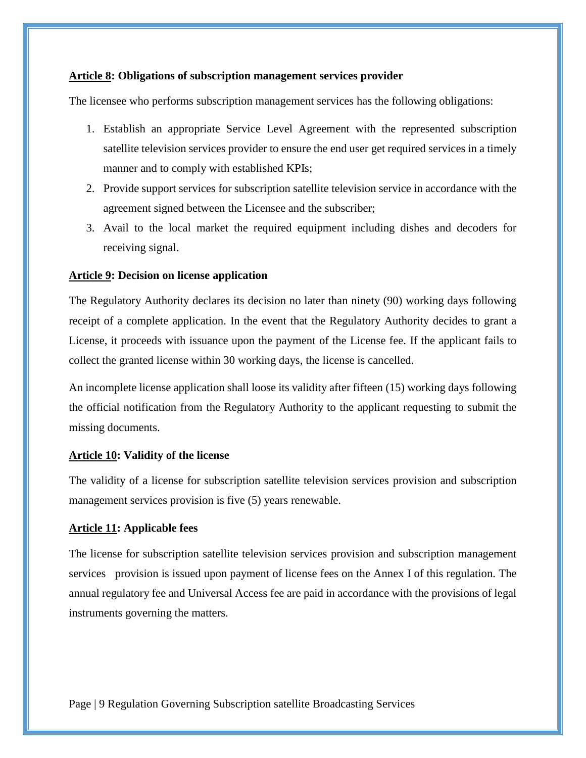#### <span id="page-8-0"></span>**Article 8: Obligations of subscription management services provider**

The licensee who performs subscription management services has the following obligations:

- 1. Establish an appropriate Service Level Agreement with the represented subscription satellite television services provider to ensure the end user get required services in a timely manner and to comply with established KPIs;
- 2. Provide support services for subscription satellite television service in accordance with the agreement signed between the Licensee and the subscriber;
- 3. Avail to the local market the required equipment including dishes and decoders for receiving signal.

#### <span id="page-8-1"></span>**Article 9: Decision on license application**

The Regulatory Authority declares its decision no later than ninety (90) working days following receipt of a complete application. In the event that the Regulatory Authority decides to grant a License, it proceeds with issuance upon the payment of the License fee. If the applicant fails to collect the granted license within 30 working days, the license is cancelled.

An incomplete license application shall loose its validity after fifteen (15) working days following the official notification from the Regulatory Authority to the applicant requesting to submit the missing documents.

#### <span id="page-8-2"></span>**Article 10: Validity of the license**

The validity of a license for subscription satellite television services provision and subscription management services provision is five (5) years renewable.

#### <span id="page-8-3"></span>**Article 11: Applicable fees**

The license for subscription satellite television services provision and subscription management services provision is issued upon payment of license fees on the Annex I of this regulation. The annual regulatory fee and Universal Access fee are paid in accordance with the provisions of legal instruments governing the matters.

Page | 9 Regulation Governing Subscription satellite Broadcasting Services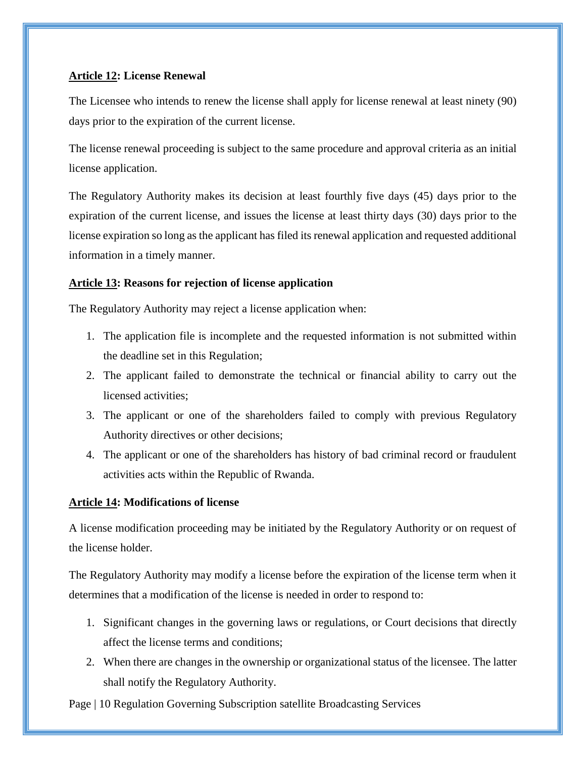### <span id="page-9-0"></span>**Article 12: License Renewal**

The Licensee who intends to renew the license shall apply for license renewal at least ninety (90) days prior to the expiration of the current license.

The license renewal proceeding is subject to the same procedure and approval criteria as an initial license application.

The Regulatory Authority makes its decision at least fourthly five days (45) days prior to the expiration of the current license, and issues the license at least thirty days (30) days prior to the license expiration so long as the applicant has filed its renewal application and requested additional information in a timely manner.

### <span id="page-9-1"></span>**Article 13: Reasons for rejection of license application**

The Regulatory Authority may reject a license application when:

- 1. The application file is incomplete and the requested information is not submitted within the deadline set in this Regulation;
- 2. The applicant failed to demonstrate the technical or financial ability to carry out the licensed activities;
- 3. The applicant or one of the shareholders failed to comply with previous Regulatory Authority directives or other decisions;
- 4. The applicant or one of the shareholders has history of bad criminal record or fraudulent activities acts within the Republic of Rwanda.

### <span id="page-9-2"></span>**Article 14: Modifications of license**

A license modification proceeding may be initiated by the Regulatory Authority or on request of the license holder.

The Regulatory Authority may modify a license before the expiration of the license term when it determines that a modification of the license is needed in order to respond to:

- 1. Significant changes in the governing laws or regulations, or Court decisions that directly affect the license terms and conditions;
- 2. When there are changes in the ownership or organizational status of the licensee. The latter shall notify the Regulatory Authority.

Page | 10 Regulation Governing Subscription satellite Broadcasting Services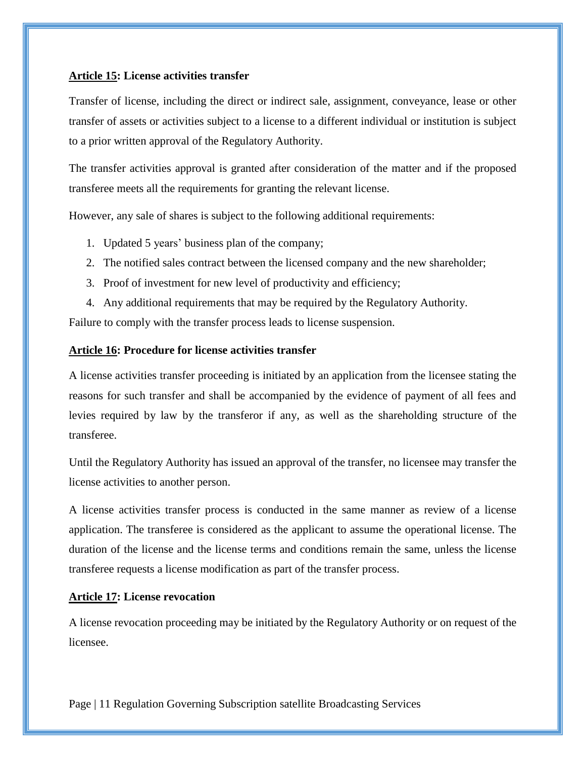#### <span id="page-10-0"></span>**Article 15: License activities transfer**

Transfer of license, including the direct or indirect sale, assignment, conveyance, lease or other transfer of assets or activities subject to a license to a different individual or institution is subject to a prior written approval of the Regulatory Authority.

The transfer activities approval is granted after consideration of the matter and if the proposed transferee meets all the requirements for granting the relevant license.

However, any sale of shares is subject to the following additional requirements:

- 1. Updated 5 years' business plan of the company;
- 2. The notified sales contract between the licensed company and the new shareholder;
- 3. Proof of investment for new level of productivity and efficiency;
- 4. Any additional requirements that may be required by the Regulatory Authority.

Failure to comply with the transfer process leads to license suspension.

### <span id="page-10-1"></span>**Article 16: Procedure for license activities transfer**

A license activities transfer proceeding is initiated by an application from the licensee stating the reasons for such transfer and shall be accompanied by the evidence of payment of all fees and levies required by law by the transferor if any, as well as the shareholding structure of the transferee.

Until the Regulatory Authority has issued an approval of the transfer, no licensee may transfer the license activities to another person.

A license activities transfer process is conducted in the same manner as review of a license application. The transferee is considered as the applicant to assume the operational license. The duration of the license and the license terms and conditions remain the same, unless the license transferee requests a license modification as part of the transfer process.

### <span id="page-10-2"></span>**Article 17: License revocation**

A license revocation proceeding may be initiated by the Regulatory Authority or on request of the licensee.

Page | 11 Regulation Governing Subscription satellite Broadcasting Services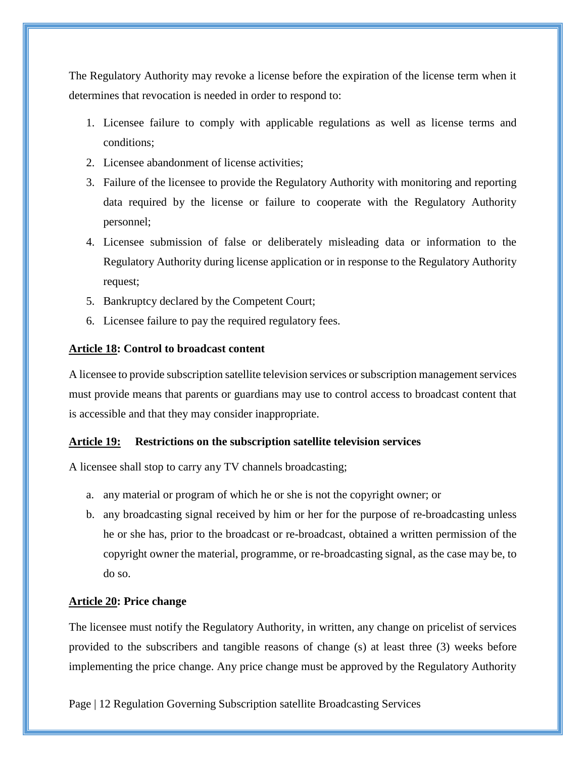The Regulatory Authority may revoke a license before the expiration of the license term when it determines that revocation is needed in order to respond to:

- 1. Licensee failure to comply with applicable regulations as well as license terms and conditions;
- 2. Licensee abandonment of license activities;
- 3. Failure of the licensee to provide the Regulatory Authority with monitoring and reporting data required by the license or failure to cooperate with the Regulatory Authority personnel;
- 4. Licensee submission of false or deliberately misleading data or information to the Regulatory Authority during license application or in response to the Regulatory Authority request;
- 5. Bankruptcy declared by the Competent Court;
- 6. Licensee failure to pay the required regulatory fees.

#### <span id="page-11-0"></span>**Article 18: Control to broadcast content**

A licensee to provide subscription satellite television services or subscription management services must provide means that parents or guardians may use to control access to broadcast content that is accessible and that they may consider inappropriate.

#### <span id="page-11-1"></span>**Article 19: Restrictions on the subscription satellite television services**

A licensee shall stop to carry any TV channels broadcasting;

- a. any material or program of which he or she is not the copyright owner; or
- b. any broadcasting signal received by him or her for the purpose of re-broadcasting unless he or she has, prior to the broadcast or re-broadcast, obtained a written permission of the copyright owner the material, programme, or re-broadcasting signal, as the case may be, to do so.

#### <span id="page-11-2"></span>**Article 20: Price change**

The licensee must notify the Regulatory Authority, in written, any change on pricelist of services provided to the subscribers and tangible reasons of change (s) at least three (3) weeks before implementing the price change. Any price change must be approved by the Regulatory Authority

Page | 12 Regulation Governing Subscription satellite Broadcasting Services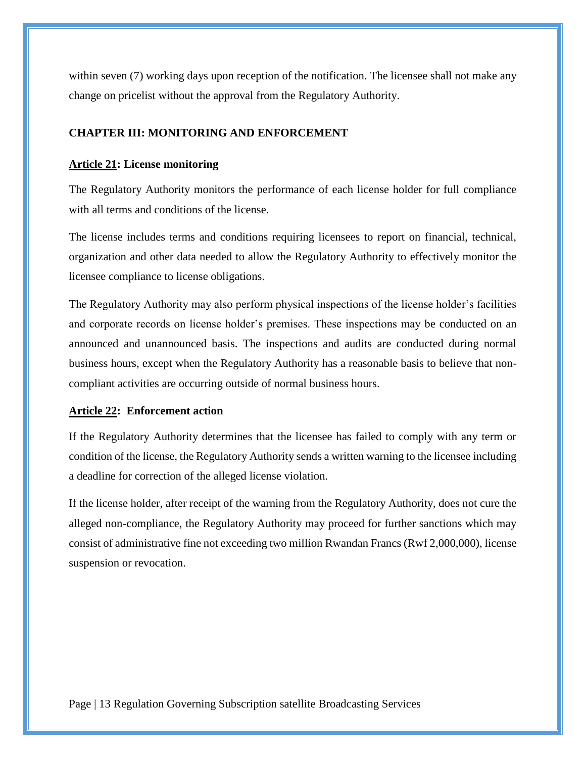within seven (7) working days upon reception of the notification. The licensee shall not make any change on pricelist without the approval from the Regulatory Authority.

### <span id="page-12-0"></span>**CHAPTER III: MONITORING AND ENFORCEMENT**

#### <span id="page-12-1"></span>**Article 21: License monitoring**

The Regulatory Authority monitors the performance of each license holder for full compliance with all terms and conditions of the license.

The license includes terms and conditions requiring licensees to report on financial, technical, organization and other data needed to allow the Regulatory Authority to effectively monitor the licensee compliance to license obligations.

The Regulatory Authority may also perform physical inspections of the license holder's facilities and corporate records on license holder's premises. These inspections may be conducted on an announced and unannounced basis. The inspections and audits are conducted during normal business hours, except when the Regulatory Authority has a reasonable basis to believe that noncompliant activities are occurring outside of normal business hours.

#### <span id="page-12-2"></span>**Article 22: Enforcement action**

If the Regulatory Authority determines that the licensee has failed to comply with any term or condition of the license, the Regulatory Authority sends a written warning to the licensee including a deadline for correction of the alleged license violation.

If the license holder, after receipt of the warning from the Regulatory Authority, does not cure the alleged non-compliance, the Regulatory Authority may proceed for further sanctions which may consist of administrative fine not exceeding two million Rwandan Francs (Rwf 2,000,000), license suspension or revocation.

Page | 13 Regulation Governing Subscription satellite Broadcasting Services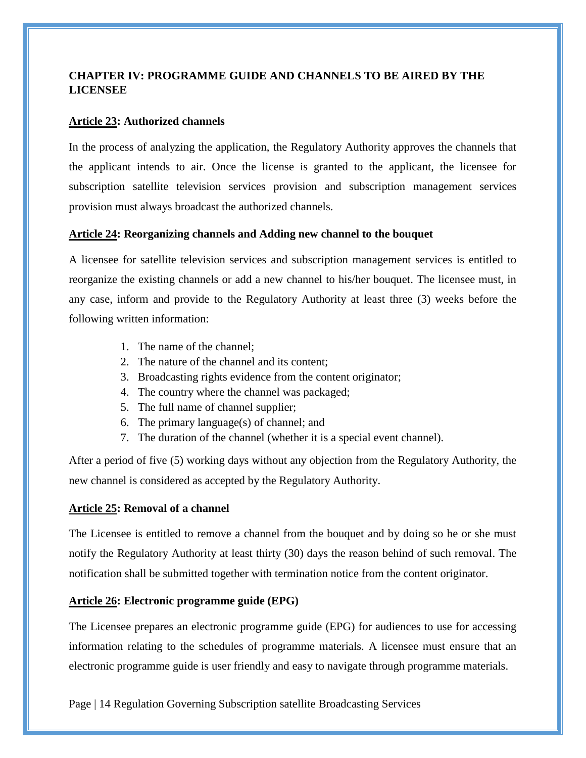# <span id="page-13-0"></span>**CHAPTER IV: PROGRAMME GUIDE AND CHANNELS TO BE AIRED BY THE LICENSEE**

### <span id="page-13-1"></span>**Article 23: Authorized channels**

In the process of analyzing the application, the Regulatory Authority approves the channels that the applicant intends to air. Once the license is granted to the applicant, the licensee for subscription satellite television services provision and subscription management services provision must always broadcast the authorized channels.

### <span id="page-13-2"></span>**Article 24: Reorganizing channels and Adding new channel to the bouquet**

A licensee for satellite television services and subscription management services is entitled to reorganize the existing channels or add a new channel to his/her bouquet. The licensee must, in any case, inform and provide to the Regulatory Authority at least three (3) weeks before the following written information:

- 1. The name of the channel;
- 2. The nature of the channel and its content;
- 3. Broadcasting rights evidence from the content originator;
- 4. The country where the channel was packaged;
- 5. The full name of channel supplier;
- 6. The primary language(s) of channel; and
- 7. The duration of the channel (whether it is a special event channel).

After a period of five (5) working days without any objection from the Regulatory Authority, the new channel is considered as accepted by the Regulatory Authority.

### <span id="page-13-3"></span>**Article 25: Removal of a channel**

The Licensee is entitled to remove a channel from the bouquet and by doing so he or she must notify the Regulatory Authority at least thirty (30) days the reason behind of such removal. The notification shall be submitted together with termination notice from the content originator.

### <span id="page-13-4"></span>**Article 26: Electronic programme guide (EPG)**

The Licensee prepares an electronic programme guide (EPG) for audiences to use for accessing information relating to the schedules of programme materials. A licensee must ensure that an electronic programme guide is user friendly and easy to navigate through programme materials.

Page | 14 Regulation Governing Subscription satellite Broadcasting Services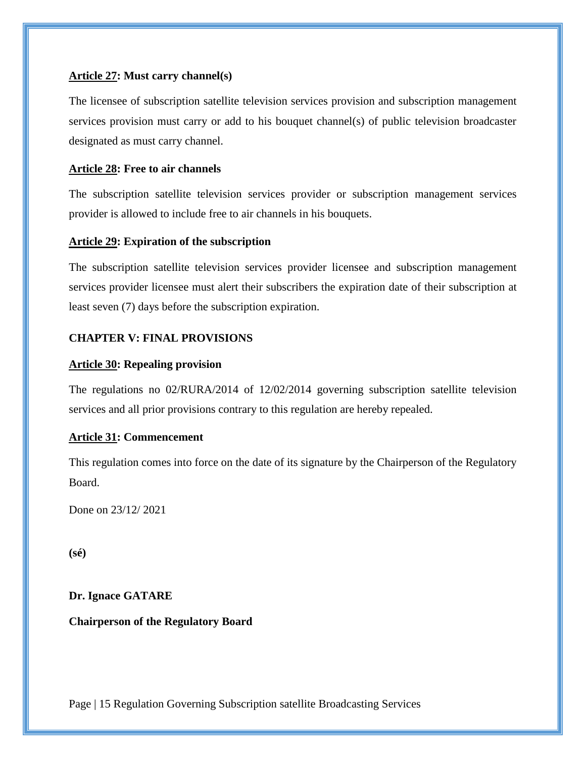### <span id="page-14-0"></span>**Article 27: Must carry channel(s)**

The licensee of subscription satellite television services provision and subscription management services provision must carry or add to his bouquet channel(s) of public television broadcaster designated as must carry channel.

### <span id="page-14-1"></span>**Article 28: Free to air channels**

The subscription satellite television services provider or subscription management services provider is allowed to include free to air channels in his bouquets.

### <span id="page-14-2"></span>**Article 29: Expiration of the subscription**

The subscription satellite television services provider licensee and subscription management services provider licensee must alert their subscribers the expiration date of their subscription at least seven (7) days before the subscription expiration.

### <span id="page-14-3"></span>**CHAPTER V: FINAL PROVISIONS**

### <span id="page-14-4"></span>**Article 30: Repealing provision**

The regulations no 02/RURA/2014 of 12/02/2014 governing subscription satellite television services and all prior provisions contrary to this regulation are hereby repealed.

### <span id="page-14-5"></span>**Article 31: Commencement**

This regulation comes into force on the date of its signature by the Chairperson of the Regulatory Board.

Done on 23/12/ 2021

**(sé)**

### **Dr. Ignace GATARE**

### **Chairperson of the Regulatory Board**

Page | 15 Regulation Governing Subscription satellite Broadcasting Services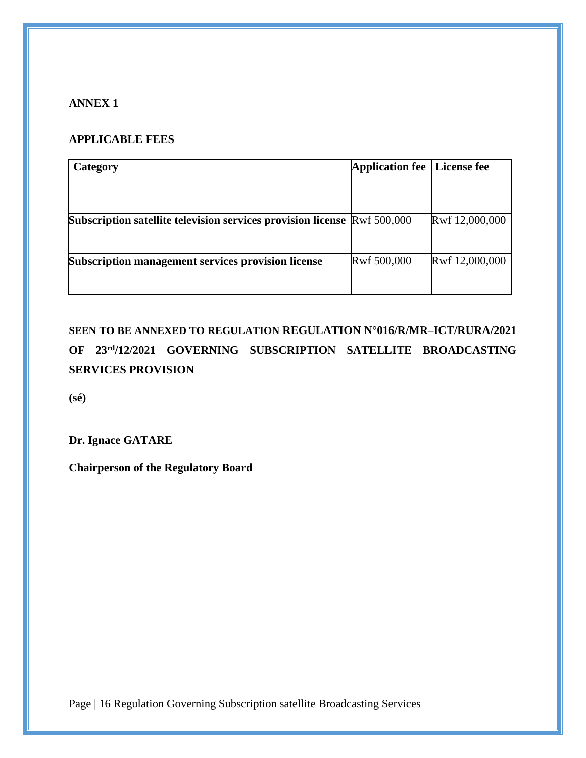# <span id="page-15-0"></span>**ANNEX 1**

# **APPLICABLE FEES**

| Category                                                                        | <b>Application fee</b> | <b>License fee</b> |
|---------------------------------------------------------------------------------|------------------------|--------------------|
|                                                                                 |                        |                    |
|                                                                                 |                        |                    |
| <b>Subscription satellite television services provision license Rwf 500,000</b> |                        | Rwf 12,000,000     |
|                                                                                 |                        |                    |
| Subscription management services provision license                              | Rwf 500,000            | Rwf 12,000,000     |
|                                                                                 |                        |                    |
|                                                                                 |                        |                    |

**SEEN TO BE ANNEXED TO REGULATION REGULATION N°016/R/MR–ICT/RURA/2021 OF 23rd/12/2021 GOVERNING SUBSCRIPTION SATELLITE BROADCASTING SERVICES PROVISION** 

**(sé)**

**Dr. Ignace GATARE**

**Chairperson of the Regulatory Board**

Page | 16 Regulation Governing Subscription satellite Broadcasting Services